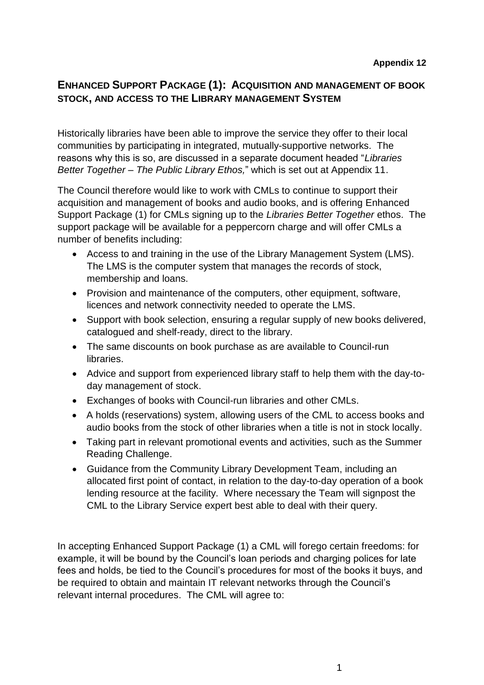## **ENHANCED SUPPORT PACKAGE (1): ACQUISITION AND MANAGEMENT OF BOOK STOCK, AND ACCESS TO THE LIBRARY MANAGEMENT SYSTEM**

Historically libraries have been able to improve the service they offer to their local communities by participating in integrated, mutually-supportive networks. The reasons why this is so, are discussed in a separate document headed "*Libraries Better Together – The Public Library Ethos,*" which is set out at Appendix 11.

The Council therefore would like to work with CMLs to continue to support their acquisition and management of books and audio books, and is offering Enhanced Support Package (1) for CMLs signing up to the *Libraries Better Together* ethos. The support package will be available for a peppercorn charge and will offer CMLs a number of benefits including:

- Access to and training in the use of the Library Management System (LMS). The LMS is the computer system that manages the records of stock, membership and loans.
- Provision and maintenance of the computers, other equipment, software, licences and network connectivity needed to operate the LMS.
- Support with book selection, ensuring a regular supply of new books delivered, catalogued and shelf-ready, direct to the library.
- The same discounts on book purchase as are available to Council-run libraries.
- Advice and support from experienced library staff to help them with the day-today management of stock.
- Exchanges of books with Council-run libraries and other CMLs.
- A holds (reservations) system, allowing users of the CML to access books and audio books from the stock of other libraries when a title is not in stock locally.
- Taking part in relevant promotional events and activities, such as the Summer Reading Challenge.
- Guidance from the Community Library Development Team, including an allocated first point of contact, in relation to the day-to-day operation of a book lending resource at the facility. Where necessary the Team will signpost the CML to the Library Service expert best able to deal with their query.

In accepting Enhanced Support Package (1) a CML will forego certain freedoms: for example, it will be bound by the Council's loan periods and charging polices for late fees and holds, be tied to the Council's procedures for most of the books it buys, and be required to obtain and maintain IT relevant networks through the Council's relevant internal procedures. The CML will agree to: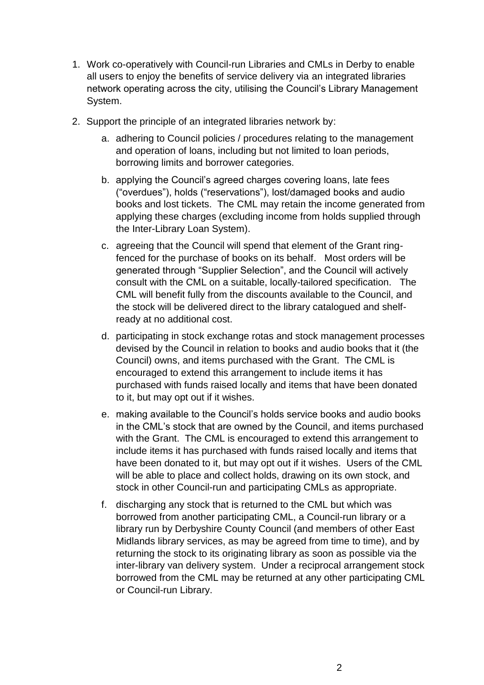- 1. Work co-operatively with Council-run Libraries and CMLs in Derby to enable all users to enjoy the benefits of service delivery via an integrated libraries network operating across the city, utilising the Council's Library Management System.
- 2. Support the principle of an integrated libraries network by:
	- a. adhering to Council policies / procedures relating to the management and operation of loans, including but not limited to loan periods, borrowing limits and borrower categories.
	- b. applying the Council's agreed charges covering loans, late fees ("overdues"), holds ("reservations"), lost/damaged books and audio books and lost tickets. The CML may retain the income generated from applying these charges (excluding income from holds supplied through the Inter-Library Loan System).
	- c. agreeing that the Council will spend that element of the Grant ringfenced for the purchase of books on its behalf. Most orders will be generated through "Supplier Selection", and the Council will actively consult with the CML on a suitable, locally-tailored specification. The CML will benefit fully from the discounts available to the Council, and the stock will be delivered direct to the library catalogued and shelfready at no additional cost.
	- d. participating in stock exchange rotas and stock management processes devised by the Council in relation to books and audio books that it (the Council) owns, and items purchased with the Grant. The CML is encouraged to extend this arrangement to include items it has purchased with funds raised locally and items that have been donated to it, but may opt out if it wishes.
	- e. making available to the Council's holds service books and audio books in the CML's stock that are owned by the Council, and items purchased with the Grant. The CML is encouraged to extend this arrangement to include items it has purchased with funds raised locally and items that have been donated to it, but may opt out if it wishes. Users of the CML will be able to place and collect holds, drawing on its own stock, and stock in other Council-run and participating CMLs as appropriate.
	- f. discharging any stock that is returned to the CML but which was borrowed from another participating CML, a Council-run library or a library run by Derbyshire County Council (and members of other East Midlands library services, as may be agreed from time to time), and by returning the stock to its originating library as soon as possible via the inter-library van delivery system. Under a reciprocal arrangement stock borrowed from the CML may be returned at any other participating CML or Council-run Library.